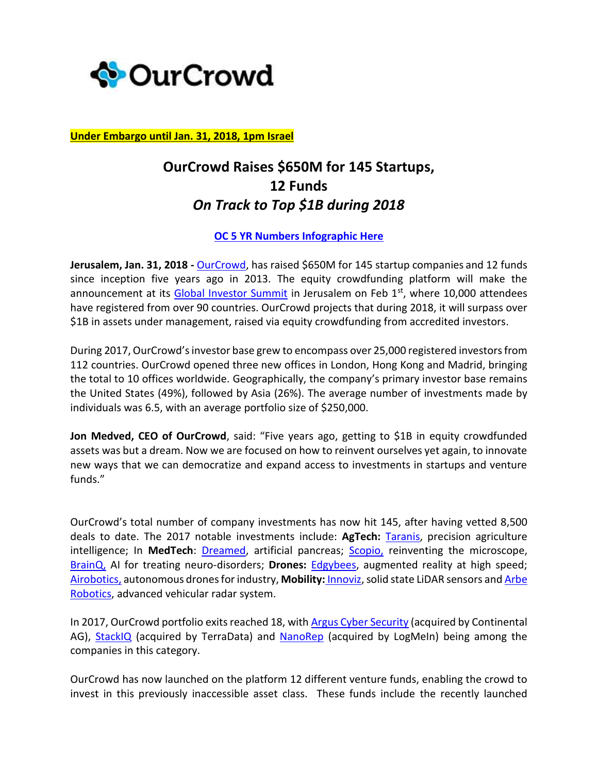

**Under Embargo until Jan. 31, 2018, 1pm Israel**

## **OurCrowd Raises \$650M for 145 Startups, 12 Funds** *On Track to Top \$1B during 2018*

## **[OC 5 YR Numbers Infographic Here](http://blog.ourcrowd.com/wp-content/uploads/2018/01/2017-OurCrowd-Year-in-Review-4.pdf)**

**Jerusalem, Jan. 31, 2018 -** [OurCrowd,](http://www.ourcrowd.com/) has raised \$650M for 145 startup companies and 12 funds since inception five years ago in 2013. The equity crowdfunding platform will make the announcement at its [Global Investor Summit](file:///C:/Users/leah.st/Desktop/summit.ourcrowd.com) in Jerusalem on Feb 1<sup>st</sup>, where 10,000 attendees have registered from over 90 countries. OurCrowd projects that during 2018, it will surpass over \$1B in assets under management, raised via equity crowdfunding from accredited investors.

During 2017, OurCrowd'sinvestor base grew to encompass over 25,000 registered investors from 112 countries. OurCrowd opened three new offices in London, Hong Kong and Madrid, bringing the total to 10 offices worldwide. Geographically, the company's primary investor base remains the United States (49%), followed by Asia (26%). The average number of investments made by individuals was 6.5, with an average portfolio size of \$250,000.

**Jon Medved, CEO of OurCrowd**, said: "Five years ago, getting to \$1B in equity crowdfunded assets was but a dream. Now we are focused on how to reinvent ourselves yet again, to innovate new ways that we can democratize and expand access to investments in startups and venture funds."

OurCrowd's total number of company investments has now hit 145, after having vetted 8,500 deals to date. The 2017 notable investments include: **AgTech:** [Taranis,](http://www.taranis.ag/#_blank) precision agriculture intelligence; In **MedTech**: [Dreamed,](http://www.dreamed-diabetes.com/) artificial pancreas; [Scopio,](https://www.scopiolabs.com/) reinventing the microscope, [BrainQ,](http://www.brainq.com/) AI for treating neuro-disorders; **Drones:** [Edgybees,](https://edgybees.com/) augmented reality at high speed; [Airobotics,](https://www.airoboticsdrones.com/) autonomous drones for industry, Mobility: [Innoviz,](https://innoviz.tech/) solid state LiDAR sensors and Arbe [Robotics,](http://www.arberobotics.com/) advanced vehicular radar system.

In 2017, OurCrowd portfolio exits reached 18, with Argus [Cyber Security](https://argus-sec.com/) (acquired by Continental AG), **StackIQ** (acquired by TerraData) and **NanoRep** (acquired by LogMeIn) being among the companies in this category.

OurCrowd has now launched on the platform 12 different venture funds, enabling the crowd to invest in this previously inaccessible asset class. These funds include the recently launched